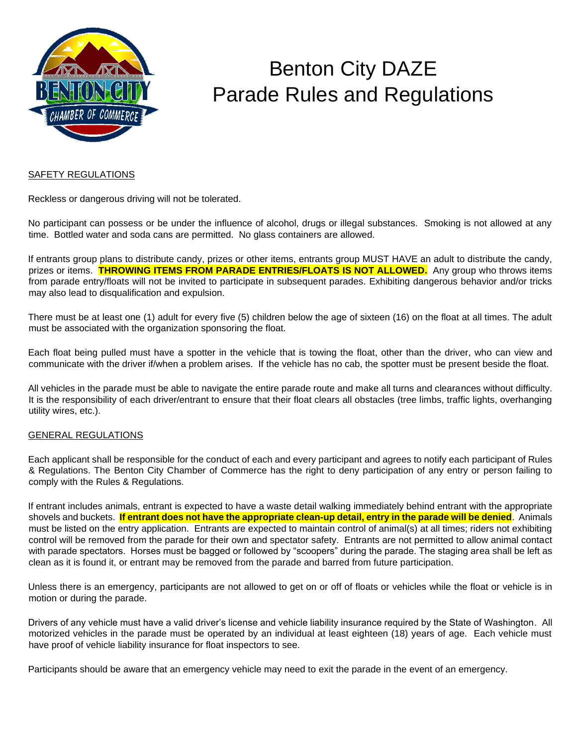

## Benton City DAZE Parade Rules and Regulations

### SAFETY REGULATIONS

Reckless or dangerous driving will not be tolerated.

No participant can possess or be under the influence of alcohol, drugs or illegal substances. Smoking is not allowed at any time. Bottled water and soda cans are permitted. No glass containers are allowed.

If entrants group plans to distribute candy, prizes or other items, entrants group MUST HAVE an adult to distribute the candy, prizes or items. **THROWING ITEMS FROM PARADE ENTRIES/FLOATS IS NOT ALLOWED.** Any group who throws items from parade entry/floats will not be invited to participate in subsequent parades. Exhibiting dangerous behavior and/or tricks may also lead to disqualification and expulsion.

There must be at least one (1) adult for every five (5) children below the age of sixteen (16) on the float at all times. The adult must be associated with the organization sponsoring the float.

Each float being pulled must have a spotter in the vehicle that is towing the float, other than the driver, who can view and communicate with the driver if/when a problem arises. If the vehicle has no cab, the spotter must be present beside the float.

All vehicles in the parade must be able to navigate the entire parade route and make all turns and clearances without difficulty. It is the responsibility of each driver/entrant to ensure that their float clears all obstacles (tree limbs, traffic lights, overhanging utility wires, etc.).

### GENERAL REGULATIONS

Each applicant shall be responsible for the conduct of each and every participant and agrees to notify each participant of Rules & Regulations. The Benton City Chamber of Commerce has the right to deny participation of any entry or person failing to comply with the Rules & Regulations.

If entrant includes animals, entrant is expected to have a waste detail walking immediately behind entrant with the appropriate shovels and buckets. **If entrant does not have the appropriate clean-up detail, entry in the parade will be denied**. Animals must be listed on the entry application. Entrants are expected to maintain control of animal(s) at all times; riders not exhibiting control will be removed from the parade for their own and spectator safety. Entrants are not permitted to allow animal contact with parade spectators. Horses must be bagged or followed by "scoopers" during the parade. The staging area shall be left as clean as it is found it, or entrant may be removed from the parade and barred from future participation.

Unless there is an emergency, participants are not allowed to get on or off of floats or vehicles while the float or vehicle is in motion or during the parade.

Drivers of any vehicle must have a valid driver's license and vehicle liability insurance required by the State of Washington. All motorized vehicles in the parade must be operated by an individual at least eighteen (18) years of age. Each vehicle must have proof of vehicle liability insurance for float inspectors to see.

Participants should be aware that an emergency vehicle may need to exit the parade in the event of an emergency.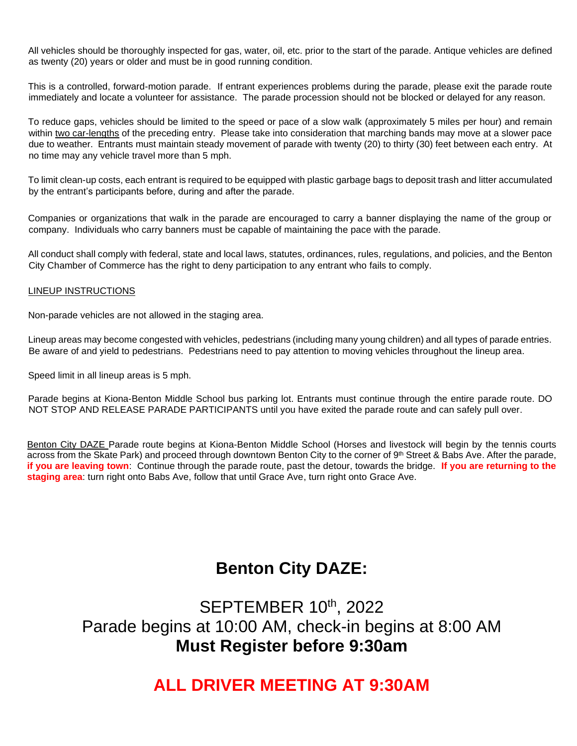All vehicles should be thoroughly inspected for gas, water, oil, etc. prior to the start of the parade. Antique vehicles are defined as twenty (20) years or older and must be in good running condition.

This is a controlled, forward-motion parade. If entrant experiences problems during the parade, please exit the parade route immediately and locate a volunteer for assistance. The parade procession should not be blocked or delayed for any reason.

To reduce gaps, vehicles should be limited to the speed or pace of a slow walk (approximately 5 miles per hour) and remain within two car-lengths of the preceding entry. Please take into consideration that marching bands may move at a slower pace due to weather. Entrants must maintain steady movement of parade with twenty (20) to thirty (30) feet between each entry. At no time may any vehicle travel more than 5 mph.

To limit clean-up costs, each entrant is required to be equipped with plastic garbage bags to deposit trash and litter accumulated by the entrant's participants before, during and after the parade.

Companies or organizations that walk in the parade are encouraged to carry a banner displaying the name of the group or company. Individuals who carry banners must be capable of maintaining the pace with the parade.

All conduct shall comply with federal, state and local laws, statutes, ordinances, rules, regulations, and policies, and the Benton City Chamber of Commerce has the right to deny participation to any entrant who fails to comply.

### LINEUP INSTRUCTIONS

Non-parade vehicles are not allowed in the staging area.

Lineup areas may become congested with vehicles, pedestrians (including many young children) and all types of parade entries. Be aware of and yield to pedestrians. Pedestrians need to pay attention to moving vehicles throughout the lineup area.

Speed limit in all lineup areas is 5 mph.

Parade begins at Kiona-Benton Middle School bus parking lot. Entrants must continue through the entire parade route. DO NOT STOP AND RELEASE PARADE PARTICIPANTS until you have exited the parade route and can safely pull over.

Benton City DAZE Parade route begins at Kiona-Benton Middle School (Horses and livestock will begin by the tennis courts across from the Skate Park) and proceed through downtown Benton City to the corner of 9th Street & Babs Ave. After the parade, **if you are leaving town**: Continue through the parade route, past the detour, towards the bridge. **If you are returning to the staging area**: turn right onto Babs Ave, follow that until Grace Ave, turn right onto Grace Ave.

## **Benton City DAZE:**

SEPTEMBER 10<sup>th</sup>, 2022 Parade begins at 10:00 AM, check-in begins at 8:00 AM **Must Register before 9:30am**

### **ALL DRIVER MEETING AT 9:30AM**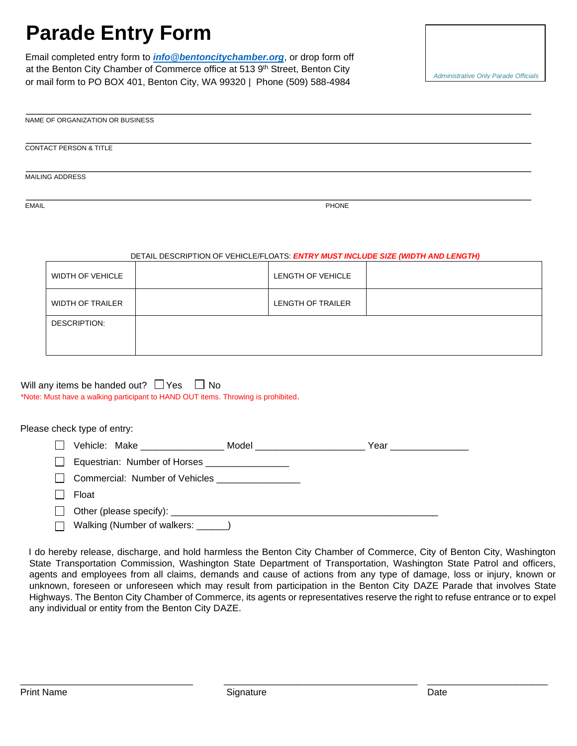# **Parade Entry Form**

Email completed entry form to *[info@bentoncitychamber.org](mailto:info@bentoncitychamber.org)*, or drop form off at the Benton City Chamber of Commerce office at 513 9<sup>th</sup> Street, Benton City or mail form to PO BOX 401, Benton City, WA 99320 | Phone (509) 588-4984

*Only* 

| NAME OF ORGANIZATION OR BUSINESS |  |
|----------------------------------|--|
|                                  |  |

CONTACT PERSON & TITLE

MAILING ADDRESS

EMAIL PHONE

#### DETAIL DESCRIPTION OF VEHICLE/FLOATS: *ENTRY MUST INCLUDE SIZE (WIDTH AND LENGTH)*

| <b>WIDTH OF VEHICLE</b> | LENGTH OF VEHICLE        |  |
|-------------------------|--------------------------|--|
| <b>WIDTH OF TRAILER</b> | <b>LENGTH OF TRAILER</b> |  |
| DESCRIPTION:            |                          |  |
|                         |                          |  |

Will any items be handed out?  $\Box$  Yes  $\Box$  No \*Note: Must have a walking participant to HAND OUT items. Throwing is prohibited.

Please check type of entry:

|        | Vehicle: Make                                  | Model <b>Model Model</b> | Year _______________ |
|--------|------------------------------------------------|--------------------------|----------------------|
| $\Box$ | Equestrian: Number of Horses _________________ |                          |                      |
|        | Commercial: Number of Vehicles                 |                          |                      |
|        | Float                                          |                          |                      |
|        |                                                |                          |                      |
|        | Walking (Number of walkers: ______)            |                          |                      |

I do hereby release, discharge, and hold harmless the Benton City Chamber of Commerce, City of Benton City, Washington State Transportation Commission, Washington State Department of Transportation, Washington State Patrol and officers, agents and employees from all claims, demands and cause of actions from any type of damage, loss or injury, known or unknown, foreseen or unforeseen which may result from participation in the Benton City DAZE Parade that involves State Highways. The Benton City Chamber of Commerce, its agents or representatives reserve the right to refuse entrance or to expel any individual or entity from the Benton City DAZE.

\_\_\_\_\_\_\_\_\_\_\_\_\_\_\_\_\_\_\_\_\_\_\_\_\_\_\_\_\_\_\_\_\_ \_\_\_\_\_\_\_\_\_\_\_\_\_\_\_\_\_\_\_\_\_\_\_\_\_\_\_\_\_\_\_\_\_\_\_\_\_ \_\_\_\_\_\_\_\_\_\_\_\_\_\_\_\_\_\_\_\_\_\_\_